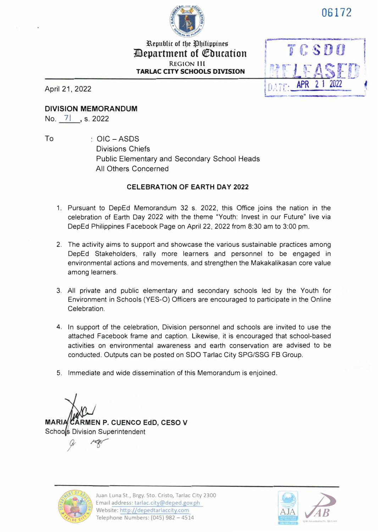

**06172** 

## 33.epublic of tbe �biiippine5' **ilepartment of Qfbucation REGION Ill TARLAC CITY SCHOOLS DIVISION**

April 21, 2022



**DIVISION MEMORANDUM** 

No. 7 , s. 2022

To OIC-ASDS Divisions Chiefs Public Elementary and Secondary School Heads All Others Concerned

## **CELEBRATION OF EARTH DAY 2022**

- 1. Pursuant to DepEd Memorandum 32 s. 2022, this Office joins the nation in the celebration of Earth Day 2022 with the theme "Youth: Invest in our Future" live via DepEd Philippines Facebook Page on April 22, 2022 from 8:30 am to 3:00 pm.
- 2. The activity aims to support and showcase the various sustainable practices among DepEd Stakeholders, rally more learners and personnel to be engaged in environmental actions and movements, and strengthen the Makakalikasan core value among learners.
- 3. All private and public elementary and secondary schools led by the Youth for Environment in Schools (YES-O) Officers are encouraged to participate in the Online Celebration.
- 4. In support of the celebration, Division personnel and schools are invited to use the attached Facebook frame and caption. Likewise, it is encouraged that school-based activities on environmental awareness and earth conservation are advised to be conducted. Outputs can be posted on SDO Tarlac City SPG/SSG FB Group.
- 5. Immediate and wide dissemination of this Memorandum is enjoined.

**MARIA CÁRMEN P. CUENCO EdD. CESO V** Schools Division Superintendent

Juan Luna St., Brgy. Sto. Cristo, Tarlac City 2300 Email address: tarlac.city@deped.gov.ph Website: http://depedtarlaccity.com Telephone Numbers: (045) 982 - 4514